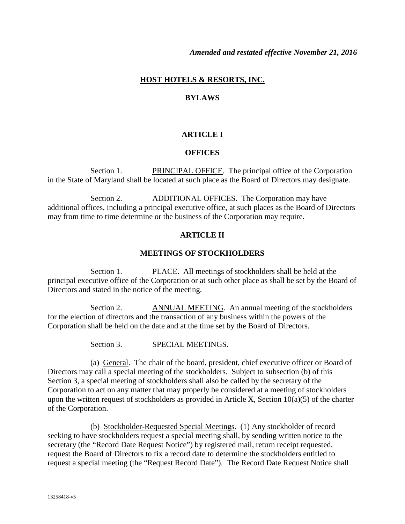#### **HOST HOTELS & RESORTS, INC.**

#### **BYLAWS**

#### **ARTICLE I**

#### **OFFICES**

Section 1. PRINCIPAL OFFICE. The principal office of the Corporation in the State of Maryland shall be located at such place as the Board of Directors may designate.

Section 2. ADDITIONAL OFFICES. The Corporation may have additional offices, including a principal executive office, at such places as the Board of Directors may from time to time determine or the business of the Corporation may require.

#### **ARTICLE II**

#### **MEETINGS OF STOCKHOLDERS**

Section 1. PLACE. All meetings of stockholders shall be held at the principal executive office of the Corporation or at such other place as shall be set by the Board of Directors and stated in the notice of the meeting.

Section 2. ANNUAL MEETING. An annual meeting of the stockholders for the election of directors and the transaction of any business within the powers of the Corporation shall be held on the date and at the time set by the Board of Directors.

Section 3. SPECIAL MEETINGS.

(a) General. The chair of the board, president, chief executive officer or Board of Directors may call a special meeting of the stockholders. Subject to subsection (b) of this Section 3, a special meeting of stockholders shall also be called by the secretary of the Corporation to act on any matter that may properly be considered at a meeting of stockholders upon the written request of stockholders as provided in Article X, Section  $10(a)(5)$  of the charter of the Corporation.

(b) Stockholder-Requested Special Meetings. (1) Any stockholder of record seeking to have stockholders request a special meeting shall, by sending written notice to the secretary (the "Record Date Request Notice") by registered mail, return receipt requested, request the Board of Directors to fix a record date to determine the stockholders entitled to request a special meeting (the "Request Record Date"). The Record Date Request Notice shall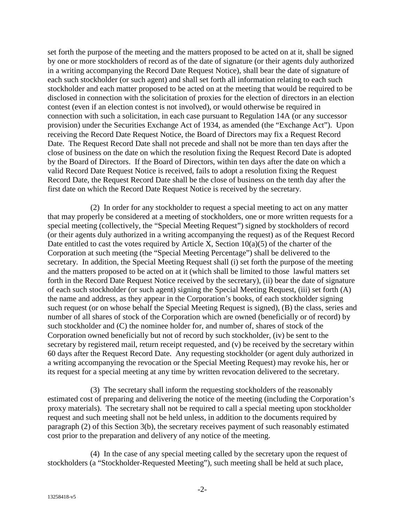set forth the purpose of the meeting and the matters proposed to be acted on at it, shall be signed by one or more stockholders of record as of the date of signature (or their agents duly authorized in a writing accompanying the Record Date Request Notice), shall bear the date of signature of each such stockholder (or such agent) and shall set forth all information relating to each such stockholder and each matter proposed to be acted on at the meeting that would be required to be disclosed in connection with the solicitation of proxies for the election of directors in an election contest (even if an election contest is not involved), or would otherwise be required in connection with such a solicitation, in each case pursuant to Regulation 14A (or any successor provision) under the Securities Exchange Act of 1934, as amended (the "Exchange Act"). Upon receiving the Record Date Request Notice, the Board of Directors may fix a Request Record Date. The Request Record Date shall not precede and shall not be more than ten days after the close of business on the date on which the resolution fixing the Request Record Date is adopted by the Board of Directors. If the Board of Directors, within ten days after the date on which a valid Record Date Request Notice is received, fails to adopt a resolution fixing the Request Record Date, the Request Record Date shall be the close of business on the tenth day after the first date on which the Record Date Request Notice is received by the secretary.

(2) In order for any stockholder to request a special meeting to act on any matter that may properly be considered at a meeting of stockholders, one or more written requests for a special meeting (collectively, the "Special Meeting Request") signed by stockholders of record (or their agents duly authorized in a writing accompanying the request) as of the Request Record Date entitled to cast the votes required by Article X, Section  $10(a)(5)$  of the charter of the Corporation at such meeting (the "Special Meeting Percentage") shall be delivered to the secretary. In addition, the Special Meeting Request shall (i) set forth the purpose of the meeting and the matters proposed to be acted on at it (which shall be limited to those lawful matters set forth in the Record Date Request Notice received by the secretary), (ii) bear the date of signature of each such stockholder (or such agent) signing the Special Meeting Request, (iii) set forth (A) the name and address, as they appear in the Corporation's books, of each stockholder signing such request (or on whose behalf the Special Meeting Request is signed), (B) the class, series and number of all shares of stock of the Corporation which are owned (beneficially or of record) by such stockholder and (C) the nominee holder for, and number of, shares of stock of the Corporation owned beneficially but not of record by such stockholder, (iv) be sent to the secretary by registered mail, return receipt requested, and (v) be received by the secretary within 60 days after the Request Record Date. Any requesting stockholder (or agent duly authorized in a writing accompanying the revocation or the Special Meeting Request) may revoke his, her or its request for a special meeting at any time by written revocation delivered to the secretary.

(3) The secretary shall inform the requesting stockholders of the reasonably estimated cost of preparing and delivering the notice of the meeting (including the Corporation's proxy materials). The secretary shall not be required to call a special meeting upon stockholder request and such meeting shall not be held unless, in addition to the documents required by paragraph (2) of this Section 3(b), the secretary receives payment of such reasonably estimated cost prior to the preparation and delivery of any notice of the meeting.

(4) In the case of any special meeting called by the secretary upon the request of stockholders (a "Stockholder-Requested Meeting"), such meeting shall be held at such place,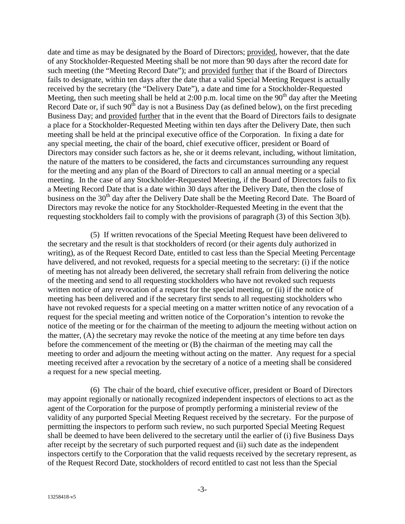date and time as may be designated by the Board of Directors; provided, however, that the date of any Stockholder-Requested Meeting shall be not more than 90 days after the record date for such meeting (the "Meeting Record Date"); and provided further that if the Board of Directors fails to designate, within ten days after the date that a valid Special Meeting Request is actually received by the secretary (the "Delivery Date"), a date and time for a Stockholder-Requested Meeting, then such meeting shall be held at 2:00 p.m. local time on the  $90<sup>th</sup>$  day after the Meeting Record Date or, if such  $90<sup>th</sup>$  day is not a Business Day (as defined below), on the first preceding Business Day; and provided further that in the event that the Board of Directors fails to designate a place for a Stockholder-Requested Meeting within ten days after the Delivery Date, then such meeting shall be held at the principal executive office of the Corporation. In fixing a date for any special meeting, the chair of the board, chief executive officer, president or Board of Directors may consider such factors as he, she or it deems relevant, including, without limitation, the nature of the matters to be considered, the facts and circumstances surrounding any request for the meeting and any plan of the Board of Directors to call an annual meeting or a special meeting. In the case of any Stockholder-Requested Meeting, if the Board of Directors fails to fix a Meeting Record Date that is a date within 30 days after the Delivery Date, then the close of business on the 30<sup>th</sup> day after the Delivery Date shall be the Meeting Record Date. The Board of Directors may revoke the notice for any Stockholder-Requested Meeting in the event that the requesting stockholders fail to comply with the provisions of paragraph (3) of this Section 3(b).

(5) If written revocations of the Special Meeting Request have been delivered to the secretary and the result is that stockholders of record (or their agents duly authorized in writing), as of the Request Record Date, entitled to cast less than the Special Meeting Percentage have delivered, and not revoked, requests for a special meeting to the secretary: (i) if the notice of meeting has not already been delivered, the secretary shall refrain from delivering the notice of the meeting and send to all requesting stockholders who have not revoked such requests written notice of any revocation of a request for the special meeting, or (ii) if the notice of meeting has been delivered and if the secretary first sends to all requesting stockholders who have not revoked requests for a special meeting on a matter written notice of any revocation of a request for the special meeting and written notice of the Corporation's intention to revoke the notice of the meeting or for the chairman of the meeting to adjourn the meeting without action on the matter, (A) the secretary may revoke the notice of the meeting at any time before ten days before the commencement of the meeting or (B) the chairman of the meeting may call the meeting to order and adjourn the meeting without acting on the matter. Any request for a special meeting received after a revocation by the secretary of a notice of a meeting shall be considered a request for a new special meeting.

(6) The chair of the board, chief executive officer, president or Board of Directors may appoint regionally or nationally recognized independent inspectors of elections to act as the agent of the Corporation for the purpose of promptly performing a ministerial review of the validity of any purported Special Meeting Request received by the secretary. For the purpose of permitting the inspectors to perform such review, no such purported Special Meeting Request shall be deemed to have been delivered to the secretary until the earlier of (i) five Business Days after receipt by the secretary of such purported request and (ii) such date as the independent inspectors certify to the Corporation that the valid requests received by the secretary represent, as of the Request Record Date, stockholders of record entitled to cast not less than the Special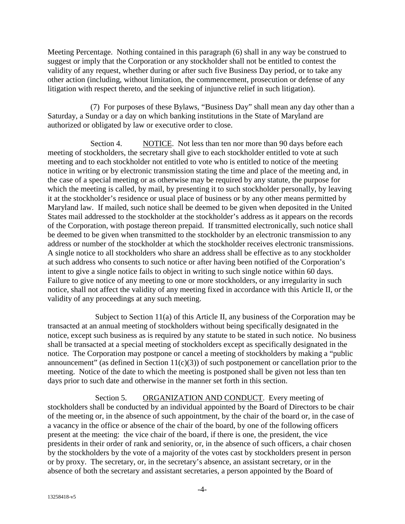Meeting Percentage. Nothing contained in this paragraph (6) shall in any way be construed to suggest or imply that the Corporation or any stockholder shall not be entitled to contest the validity of any request, whether during or after such five Business Day period, or to take any other action (including, without limitation, the commencement, prosecution or defense of any litigation with respect thereto, and the seeking of injunctive relief in such litigation).

(7) For purposes of these Bylaws, "Business Day" shall mean any day other than a Saturday, a Sunday or a day on which banking institutions in the State of Maryland are authorized or obligated by law or executive order to close.

Section 4. NOTICE. Not less than ten nor more than 90 days before each meeting of stockholders, the secretary shall give to each stockholder entitled to vote at such meeting and to each stockholder not entitled to vote who is entitled to notice of the meeting notice in writing or by electronic transmission stating the time and place of the meeting and, in the case of a special meeting or as otherwise may be required by any statute, the purpose for which the meeting is called, by mail, by presenting it to such stockholder personally, by leaving it at the stockholder's residence or usual place of business or by any other means permitted by Maryland law. If mailed, such notice shall be deemed to be given when deposited in the United States mail addressed to the stockholder at the stockholder's address as it appears on the records of the Corporation, with postage thereon prepaid. If transmitted electronically, such notice shall be deemed to be given when transmitted to the stockholder by an electronic transmission to any address or number of the stockholder at which the stockholder receives electronic transmissions. A single notice to all stockholders who share an address shall be effective as to any stockholder at such address who consents to such notice or after having been notified of the Corporation's intent to give a single notice fails to object in writing to such single notice within 60 days. Failure to give notice of any meeting to one or more stockholders, or any irregularity in such notice, shall not affect the validity of any meeting fixed in accordance with this Article II, or the validity of any proceedings at any such meeting.

Subject to Section 11(a) of this Article II, any business of the Corporation may be transacted at an annual meeting of stockholders without being specifically designated in the notice, except such business as is required by any statute to be stated in such notice. No business shall be transacted at a special meeting of stockholders except as specifically designated in the notice. The Corporation may postpone or cancel a meeting of stockholders by making a "public announcement" (as defined in Section  $11(c)(3)$ ) of such postponement or cancellation prior to the meeting. Notice of the date to which the meeting is postponed shall be given not less than ten days prior to such date and otherwise in the manner set forth in this section.

Section 5. ORGANIZATION AND CONDUCT. Every meeting of stockholders shall be conducted by an individual appointed by the Board of Directors to be chair of the meeting or, in the absence of such appointment, by the chair of the board or, in the case of a vacancy in the office or absence of the chair of the board, by one of the following officers present at the meeting: the vice chair of the board, if there is one, the president, the vice presidents in their order of rank and seniority, or, in the absence of such officers, a chair chosen by the stockholders by the vote of a majority of the votes cast by stockholders present in person or by proxy. The secretary, or, in the secretary's absence, an assistant secretary, or in the absence of both the secretary and assistant secretaries, a person appointed by the Board of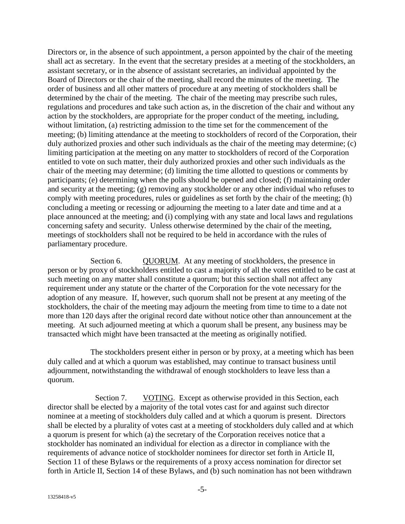Directors or, in the absence of such appointment, a person appointed by the chair of the meeting shall act as secretary. In the event that the secretary presides at a meeting of the stockholders, an assistant secretary, or in the absence of assistant secretaries, an individual appointed by the Board of Directors or the chair of the meeting, shall record the minutes of the meeting. The order of business and all other matters of procedure at any meeting of stockholders shall be determined by the chair of the meeting. The chair of the meeting may prescribe such rules, regulations and procedures and take such action as, in the discretion of the chair and without any action by the stockholders, are appropriate for the proper conduct of the meeting, including, without limitation, (a) restricting admission to the time set for the commencement of the meeting; (b) limiting attendance at the meeting to stockholders of record of the Corporation, their duly authorized proxies and other such individuals as the chair of the meeting may determine; (c) limiting participation at the meeting on any matter to stockholders of record of the Corporation entitled to vote on such matter, their duly authorized proxies and other such individuals as the chair of the meeting may determine; (d) limiting the time allotted to questions or comments by participants; (e) determining when the polls should be opened and closed; (f) maintaining order and security at the meeting; (g) removing any stockholder or any other individual who refuses to comply with meeting procedures, rules or guidelines as set forth by the chair of the meeting; (h) concluding a meeting or recessing or adjourning the meeting to a later date and time and at a place announced at the meeting; and (i) complying with any state and local laws and regulations concerning safety and security. Unless otherwise determined by the chair of the meeting, meetings of stockholders shall not be required to be held in accordance with the rules of parliamentary procedure.

Section 6. QUORUM. At any meeting of stockholders, the presence in person or by proxy of stockholders entitled to cast a majority of all the votes entitled to be cast at such meeting on any matter shall constitute a quorum; but this section shall not affect any requirement under any statute or the charter of the Corporation for the vote necessary for the adoption of any measure. If, however, such quorum shall not be present at any meeting of the stockholders, the chair of the meeting may adjourn the meeting from time to time to a date not more than 120 days after the original record date without notice other than announcement at the meeting. At such adjourned meeting at which a quorum shall be present, any business may be transacted which might have been transacted at the meeting as originally notified.

The stockholders present either in person or by proxy, at a meeting which has been duly called and at which a quorum was established, may continue to transact business until adjournment, notwithstanding the withdrawal of enough stockholders to leave less than a quorum.

Section 7. VOTING. Except as otherwise provided in this Section, each director shall be elected by a majority of the total votes cast for and against such director nominee at a meeting of stockholders duly called and at which a quorum is present. Directors shall be elected by a plurality of votes cast at a meeting of stockholders duly called and at which a quorum is present for which (a) the secretary of the Corporation receives notice that a stockholder has nominated an individual for election as a director in compliance with the requirements of advance notice of stockholder nominees for director set forth in Article II, Section 11 of these Bylaws or the requirements of a proxy access nomination for director set forth in Article II, Section 14 of these Bylaws, and (b) such nomination has not been withdrawn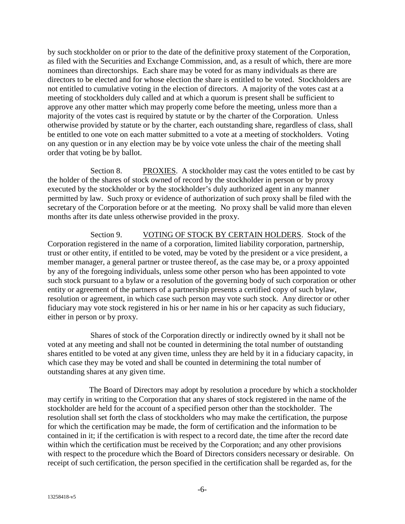by such stockholder on or prior to the date of the definitive proxy statement of the Corporation, as filed with the Securities and Exchange Commission, and, as a result of which, there are more nominees than directorships. Each share may be voted for as many individuals as there are directors to be elected and for whose election the share is entitled to be voted. Stockholders are not entitled to cumulative voting in the election of directors. A majority of the votes cast at a meeting of stockholders duly called and at which a quorum is present shall be sufficient to approve any other matter which may properly come before the meeting, unless more than a majority of the votes cast is required by statute or by the charter of the Corporation. Unless otherwise provided by statute or by the charter, each outstanding share, regardless of class, shall be entitled to one vote on each matter submitted to a vote at a meeting of stockholders. Voting on any question or in any election may be by voice vote unless the chair of the meeting shall order that voting be by ballot.

Section 8. PROXIES. A stockholder may cast the votes entitled to be cast by the holder of the shares of stock owned of record by the stockholder in person or by proxy executed by the stockholder or by the stockholder's duly authorized agent in any manner permitted by law. Such proxy or evidence of authorization of such proxy shall be filed with the secretary of the Corporation before or at the meeting. No proxy shall be valid more than eleven months after its date unless otherwise provided in the proxy.

Section 9. VOTING OF STOCK BY CERTAIN HOLDERS. Stock of the Corporation registered in the name of a corporation, limited liability corporation, partnership, trust or other entity, if entitled to be voted, may be voted by the president or a vice president, a member manager, a general partner or trustee thereof, as the case may be, or a proxy appointed by any of the foregoing individuals, unless some other person who has been appointed to vote such stock pursuant to a bylaw or a resolution of the governing body of such corporation or other entity or agreement of the partners of a partnership presents a certified copy of such bylaw, resolution or agreement, in which case such person may vote such stock. Any director or other fiduciary may vote stock registered in his or her name in his or her capacity as such fiduciary, either in person or by proxy.

Shares of stock of the Corporation directly or indirectly owned by it shall not be voted at any meeting and shall not be counted in determining the total number of outstanding shares entitled to be voted at any given time, unless they are held by it in a fiduciary capacity, in which case they may be voted and shall be counted in determining the total number of outstanding shares at any given time.

The Board of Directors may adopt by resolution a procedure by which a stockholder may certify in writing to the Corporation that any shares of stock registered in the name of the stockholder are held for the account of a specified person other than the stockholder. The resolution shall set forth the class of stockholders who may make the certification, the purpose for which the certification may be made, the form of certification and the information to be contained in it; if the certification is with respect to a record date, the time after the record date within which the certification must be received by the Corporation; and any other provisions with respect to the procedure which the Board of Directors considers necessary or desirable. On receipt of such certification, the person specified in the certification shall be regarded as, for the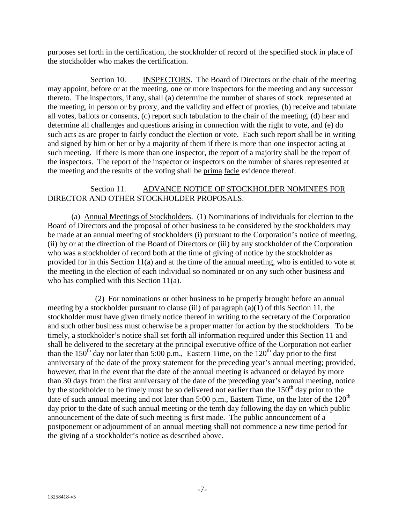purposes set forth in the certification, the stockholder of record of the specified stock in place of the stockholder who makes the certification.

Section 10. INSPECTORS. The Board of Directors or the chair of the meeting may appoint, before or at the meeting, one or more inspectors for the meeting and any successor thereto. The inspectors, if any, shall (a) determine the number of shares of stock represented at the meeting, in person or by proxy, and the validity and effect of proxies, (b) receive and tabulate all votes, ballots or consents, (c) report such tabulation to the chair of the meeting, (d) hear and determine all challenges and questions arising in connection with the right to vote, and (e) do such acts as are proper to fairly conduct the election or vote. Each such report shall be in writing and signed by him or her or by a majority of them if there is more than one inspector acting at such meeting. If there is more than one inspector, the report of a majority shall be the report of the inspectors. The report of the inspector or inspectors on the number of shares represented at the meeting and the results of the voting shall be prima facie evidence thereof.

## Section 11. ADVANCE NOTICE OF STOCKHOLDER NOMINEES FOR DIRECTOR AND OTHER STOCKHOLDER PROPOSALS.

(a) Annual Meetings of Stockholders. (1) Nominations of individuals for election to the Board of Directors and the proposal of other business to be considered by the stockholders may be made at an annual meeting of stockholders (i) pursuant to the Corporation's notice of meeting, (ii) by or at the direction of the Board of Directors or (iii) by any stockholder of the Corporation who was a stockholder of record both at the time of giving of notice by the stockholder as provided for in this Section 11(a) and at the time of the annual meeting, who is entitled to vote at the meeting in the election of each individual so nominated or on any such other business and who has complied with this Section 11(a).

(2) For nominations or other business to be properly brought before an annual meeting by a stockholder pursuant to clause (iii) of paragraph  $(a)(1)$  of this Section 11, the stockholder must have given timely notice thereof in writing to the secretary of the Corporation and such other business must otherwise be a proper matter for action by the stockholders. To be timely, a stockholder's notice shall set forth all information required under this Section 11 and shall be delivered to the secretary at the principal executive office of the Corporation not earlier than the 150<sup>th</sup> day nor later than 5:00 p.m., Eastern Time, on the 120<sup>th</sup> day prior to the first anniversary of the date of the proxy statement for the preceding year's annual meeting; provided, however, that in the event that the date of the annual meeting is advanced or delayed by more than 30 days from the first anniversary of the date of the preceding year's annual meeting, notice by the stockholder to be timely must be so delivered not earlier than the  $150<sup>th</sup>$  day prior to the date of such annual meeting and not later than 5:00 p.m., Eastern Time, on the later of the  $120<sup>th</sup>$ day prior to the date of such annual meeting or the tenth day following the day on which public announcement of the date of such meeting is first made. The public announcement of a postponement or adjournment of an annual meeting shall not commence a new time period for the giving of a stockholder's notice as described above.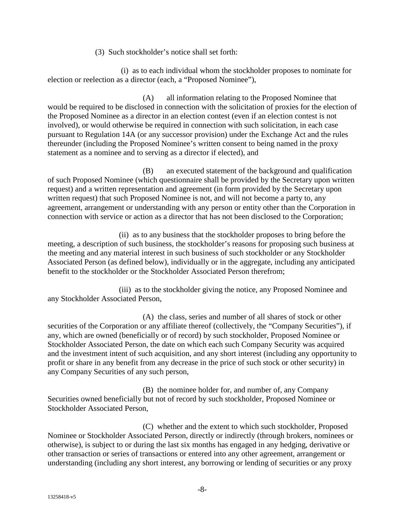(3)Such stockholder's notice shall set forth:

(i) as to each individual whom the stockholder proposes to nominate for election or reelection as a director (each, a "Proposed Nominee"),

(A) all information relating to the Proposed Nominee that would be required to be disclosed in connection with the solicitation of proxies for the election of the Proposed Nominee as a director in an election contest (even if an election contest is not involved), or would otherwise be required in connection with such solicitation, in each case pursuant to Regulation 14A (or any successor provision) under the Exchange Act and the rules thereunder (including the Proposed Nominee's written consent to being named in the proxy statement as a nominee and to serving as a director if elected), and

(B) an executed statement of the background and qualification of such Proposed Nominee (which questionnaire shall be provided by the Secretary upon written request) and a written representation and agreement (in form provided by the Secretary upon written request) that such Proposed Nominee is not, and will not become a party to, any agreement, arrangement or understanding with any person or entity other than the Corporation in connection with service or action as a director that has not been disclosed to the Corporation;

(ii) as to any business that the stockholder proposes to bring before the meeting, a description of such business, the stockholder's reasons for proposing such business at the meeting and any material interest in such business of such stockholder or any Stockholder Associated Person (as defined below), individually or in the aggregate, including any anticipated benefit to the stockholder or the Stockholder Associated Person therefrom;

(iii) as to the stockholder giving the notice, any Proposed Nominee and any Stockholder Associated Person,

(A) the class, series and number of all shares of stock or other securities of the Corporation or any affiliate thereof (collectively, the "Company Securities"), if any, which are owned (beneficially or of record) by such stockholder, Proposed Nominee or Stockholder Associated Person, the date on which each such Company Security was acquired and the investment intent of such acquisition, and any short interest (including any opportunity to profit or share in any benefit from any decrease in the price of such stock or other security) in any Company Securities of any such person,

(B) the nominee holder for, and number of, any Company Securities owned beneficially but not of record by such stockholder, Proposed Nominee or Stockholder Associated Person,

(C) whether and the extent to which such stockholder, Proposed Nominee or Stockholder Associated Person, directly or indirectly (through brokers, nominees or otherwise), is subject to or during the last six months has engaged in any hedging, derivative or other transaction or series of transactions or entered into any other agreement, arrangement or understanding (including any short interest, any borrowing or lending of securities or any proxy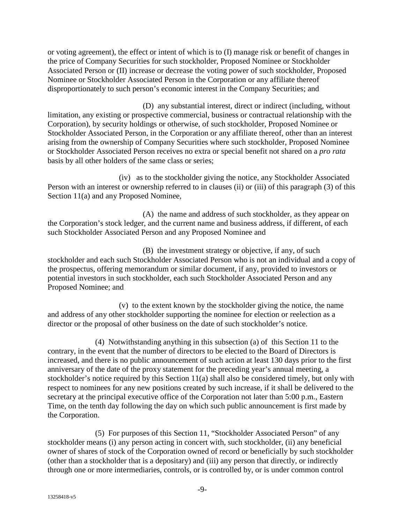or voting agreement), the effect or intent of which is to (I) manage risk or benefit of changes in the price of Company Securities for such stockholder, Proposed Nominee or Stockholder Associated Person or (II) increase or decrease the voting power of such stockholder, Proposed Nominee or Stockholder Associated Person in the Corporation or any affiliate thereof disproportionately to such person's economic interest in the Company Securities; and

(D) any substantial interest, direct or indirect (including, without limitation, any existing or prospective commercial, business or contractual relationship with the Corporation), by security holdings or otherwise, of such stockholder, Proposed Nominee or Stockholder Associated Person, in the Corporation or any affiliate thereof, other than an interest arising from the ownership of Company Securities where such stockholder, Proposed Nominee or Stockholder Associated Person receives no extra or special benefit not shared on a *pro rata* basis by all other holders of the same class or series;

(iv) as to the stockholder giving the notice, any Stockholder Associated Person with an interest or ownership referred to in clauses (ii) or (iii) of this paragraph (3) of this Section 11(a) and any Proposed Nominee,

(A) the name and address of such stockholder, as they appear on the Corporation's stock ledger, and the current name and business address, if different, of each such Stockholder Associated Person and any Proposed Nominee and

(B) the investment strategy or objective, if any, of such stockholder and each such Stockholder Associated Person who is not an individual and a copy of the prospectus, offering memorandum or similar document, if any, provided to investors or potential investors in such stockholder, each such Stockholder Associated Person and any Proposed Nominee; and

(v) to the extent known by the stockholder giving the notice, the name and address of any other stockholder supporting the nominee for election or reelection as a director or the proposal of other business on the date of such stockholder's notice.

(4) Notwithstanding anything in this subsection (a) of this Section 11 to the contrary, in the event that the number of directors to be elected to the Board of Directors is increased, and there is no public announcement of such action at least 130 days prior to the first anniversary of the date of the proxy statement for the preceding year's annual meeting, a stockholder's notice required by this Section 11(a) shall also be considered timely, but only with respect to nominees for any new positions created by such increase, if it shall be delivered to the secretary at the principal executive office of the Corporation not later than 5:00 p.m., Eastern Time, on the tenth day following the day on which such public announcement is first made by the Corporation.

(5) For purposes of this Section 11, "Stockholder Associated Person" of any stockholder means (i) any person acting in concert with, such stockholder, (ii) any beneficial owner of shares of stock of the Corporation owned of record or beneficially by such stockholder (other than a stockholder that is a depositary) and (iii) any person that directly, or indirectly through one or more intermediaries, controls, or is controlled by, or is under common control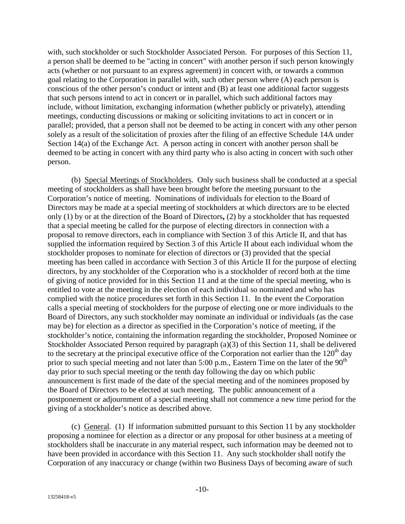with, such stockholder or such Stockholder Associated Person. For purposes of this Section 11, a person shall be deemed to be "acting in concert" with another person if such person knowingly acts (whether or not pursuant to an express agreement) in concert with, or towards a common goal relating to the Corporation in parallel with, such other person where (A) each person is conscious of the other person's conduct or intent and (B) at least one additional factor suggests that such persons intend to act in concert or in parallel, which such additional factors may include, without limitation, exchanging information (whether publicly or privately), attending meetings, conducting discussions or making or soliciting invitations to act in concert or in parallel; provided, that a person shall not be deemed to be acting in concert with any other person solely as a result of the solicitation of proxies after the filing of an effective Schedule 14A under Section 14(a) of the Exchange Act. A person acting in concert with another person shall be deemed to be acting in concert with any third party who is also acting in concert with such other person.

(b) Special Meetings of Stockholders. Only such business shall be conducted at a special meeting of stockholders as shall have been brought before the meeting pursuant to the Corporation's notice of meeting. Nominations of individuals for election to the Board of Directors may be made at a special meeting of stockholders at which directors are to be elected only (1) by or at the direction of the Board of Directors**,** (2) by a stockholder that has requested that a special meeting be called for the purpose of electing directors in connection with a proposal to remove directors, each in compliance with Section 3 of this Article II, and that has supplied the information required by Section 3 of this Article II about each individual whom the stockholder proposes to nominate for election of directors or (3) provided that the special meeting has been called in accordance with Section 3 of this Article II for the purpose of electing directors, by any stockholder of the Corporation who is a stockholder of record both at the time of giving of notice provided for in this Section 11 and at the time of the special meeting, who is entitled to vote at the meeting in the election of each individual so nominated and who has complied with the notice procedures set forth in this Section 11. In the event the Corporation calls a special meeting of stockholders for the purpose of electing one or more individuals to the Board of Directors, any such stockholder may nominate an individual or individuals (as the case may be) for election as a director as specified in the Corporation's notice of meeting, if the stockholder's notice, containing the information regarding the stockholder, Proposed Nominee or Stockholder Associated Person required by paragraph (a)(3) of this Section 11, shall be delivered to the secretary at the principal executive office of the Corporation not earlier than the  $120<sup>th</sup>$  day prior to such special meeting and not later than  $5:00$  p.m., Eastern Time on the later of the  $90<sup>th</sup>$ day prior to such special meeting or the tenth day following the day on which public announcement is first made of the date of the special meeting and of the nominees proposed by the Board of Directors to be elected at such meeting. The public announcement of a postponement or adjournment of a special meeting shall not commence a new time period for the giving of a stockholder's notice as described above.

(c) General. (1) If information submitted pursuant to this Section 11 by any stockholder proposing a nominee for election as a director or any proposal for other business at a meeting of stockholders shall be inaccurate in any material respect, such information may be deemed not to have been provided in accordance with this Section 11. Any such stockholder shall notify the Corporation of any inaccuracy or change (within two Business Days of becoming aware of such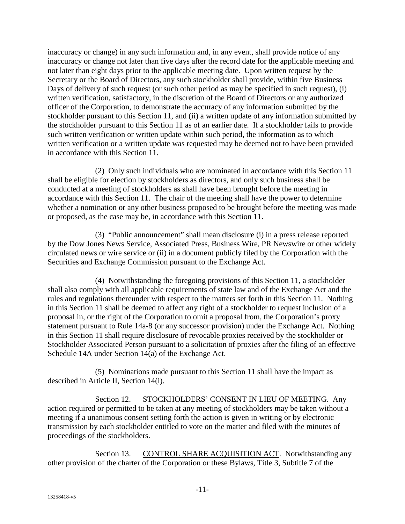inaccuracy or change) in any such information and, in any event, shall provide notice of any inaccuracy or change not later than five days after the record date for the applicable meeting and not later than eight days prior to the applicable meeting date. Upon written request by the Secretary or the Board of Directors, any such stockholder shall provide, within five Business Days of delivery of such request (or such other period as may be specified in such request), (i) written verification, satisfactory, in the discretion of the Board of Directors or any authorized officer of the Corporation, to demonstrate the accuracy of any information submitted by the stockholder pursuant to this Section 11, and (ii) a written update of any information submitted by the stockholder pursuant to this Section 11 as of an earlier date. If a stockholder fails to provide such written verification or written update within such period, the information as to which written verification or a written update was requested may be deemed not to have been provided in accordance with this Section 11.

(2) Only such individuals who are nominated in accordance with this Section 11 shall be eligible for election by stockholders as directors, and only such business shall be conducted at a meeting of stockholders as shall have been brought before the meeting in accordance with this Section 11. The chair of the meeting shall have the power to determine whether a nomination or any other business proposed to be brought before the meeting was made or proposed, as the case may be, in accordance with this Section 11.

(3) "Public announcement" shall mean disclosure (i) in a press release reported by the Dow Jones News Service, Associated Press, Business Wire, PR Newswire or other widely circulated news or wire service or (ii) in a document publicly filed by the Corporation with the Securities and Exchange Commission pursuant to the Exchange Act.

(4) Notwithstanding the foregoing provisions of this Section 11, a stockholder shall also comply with all applicable requirements of state law and of the Exchange Act and the rules and regulations thereunder with respect to the matters set forth in this Section 11. Nothing in this Section 11 shall be deemed to affect any right of a stockholder to request inclusion of a proposal in, or the right of the Corporation to omit a proposal from, the Corporation's proxy statement pursuant to Rule 14a-8 (or any successor provision) under the Exchange Act. Nothing in this Section 11 shall require disclosure of revocable proxies received by the stockholder or Stockholder Associated Person pursuant to a solicitation of proxies after the filing of an effective Schedule 14A under Section 14(a) of the Exchange Act.

(5) Nominations made pursuant to this Section 11 shall have the impact as described in Article II, Section 14(i).

Section 12. STOCKHOLDERS' CONSENT IN LIEU OF MEETING. Any action required or permitted to be taken at any meeting of stockholders may be taken without a meeting if a unanimous consent setting forth the action is given in writing or by electronic transmission by each stockholder entitled to vote on the matter and filed with the minutes of proceedings of the stockholders.

Section 13. CONTROL SHARE ACQUISITION ACT. Notwithstanding any other provision of the charter of the Corporation or these Bylaws, Title 3, Subtitle 7 of the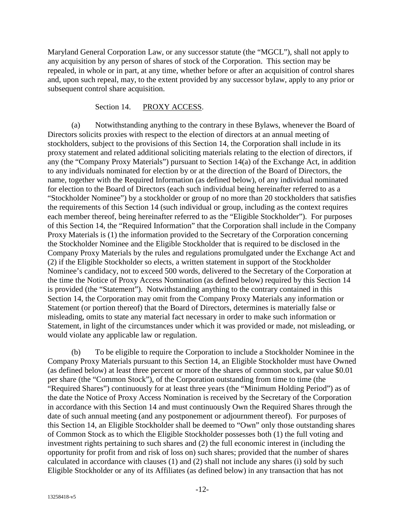Maryland General Corporation Law, or any successor statute (the "MGCL"), shall not apply to any acquisition by any person of shares of stock of the Corporation. This section may be repealed, in whole or in part, at any time, whether before or after an acquisition of control shares and, upon such repeal, may, to the extent provided by any successor bylaw, apply to any prior or subsequent control share acquisition.

#### Section 14. PROXY ACCESS.

(a) Notwithstanding anything to the contrary in these Bylaws, whenever the Board of Directors solicits proxies with respect to the election of directors at an annual meeting of stockholders, subject to the provisions of this Section 14, the Corporation shall include in its proxy statement and related additional soliciting materials relating to the election of directors, if any (the "Company Proxy Materials") pursuant to Section 14(a) of the Exchange Act, in addition to any individuals nominated for election by or at the direction of the Board of Directors, the name, together with the Required Information (as defined below), of any individual nominated for election to the Board of Directors (each such individual being hereinafter referred to as a "Stockholder Nominee") by a stockholder or group of no more than 20 stockholders that satisfies the requirements of this Section 14 (such individual or group, including as the context requires each member thereof, being hereinafter referred to as the "Eligible Stockholder"). For purposes of this Section 14, the "Required Information" that the Corporation shall include in the Company Proxy Materials is (1) the information provided to the Secretary of the Corporation concerning the Stockholder Nominee and the Eligible Stockholder that is required to be disclosed in the Company Proxy Materials by the rules and regulations promulgated under the Exchange Act and (2) if the Eligible Stockholder so elects, a written statement in support of the Stockholder Nominee's candidacy, not to exceed 500 words, delivered to the Secretary of the Corporation at the time the Notice of Proxy Access Nomination (as defined below) required by this Section 14 is provided (the "Statement"). Notwithstanding anything to the contrary contained in this Section 14, the Corporation may omit from the Company Proxy Materials any information or Statement (or portion thereof) that the Board of Directors, determines is materially false or misleading, omits to state any material fact necessary in order to make such information or Statement, in light of the circumstances under which it was provided or made, not misleading, or would violate any applicable law or regulation.

(b) To be eligible to require the Corporation to include a Stockholder Nominee in the Company Proxy Materials pursuant to this Section 14, an Eligible Stockholder must have Owned (as defined below) at least three percent or more of the shares of common stock, par value \$0.01 per share (the "Common Stock"), of the Corporation outstanding from time to time (the "Required Shares") continuously for at least three years (the "Minimum Holding Period") as of the date the Notice of Proxy Access Nomination is received by the Secretary of the Corporation in accordance with this Section 14 and must continuously Own the Required Shares through the date of such annual meeting (and any postponement or adjournment thereof). For purposes of this Section 14, an Eligible Stockholder shall be deemed to "Own" only those outstanding shares of Common Stock as to which the Eligible Stockholder possesses both (1) the full voting and investment rights pertaining to such shares and (2) the full economic interest in (including the opportunity for profit from and risk of loss on) such shares; provided that the number of shares calculated in accordance with clauses (1) and (2) shall not include any shares (i) sold by such Eligible Stockholder or any of its Affiliates (as defined below) in any transaction that has not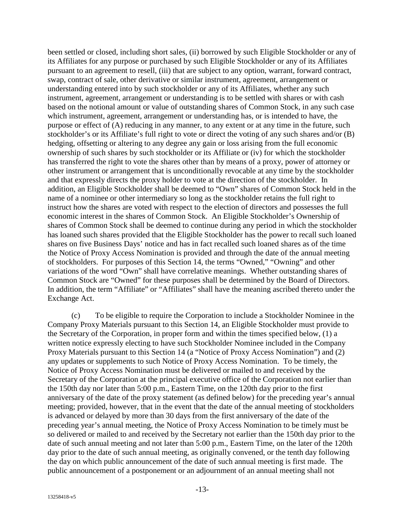been settled or closed, including short sales, (ii) borrowed by such Eligible Stockholder or any of its Affiliates for any purpose or purchased by such Eligible Stockholder or any of its Affiliates pursuant to an agreement to resell, (iii) that are subject to any option, warrant, forward contract, swap, contract of sale, other derivative or similar instrument, agreement, arrangement or understanding entered into by such stockholder or any of its Affiliates, whether any such instrument, agreement, arrangement or understanding is to be settled with shares or with cash based on the notional amount or value of outstanding shares of Common Stock, in any such case which instrument, agreement, arrangement or understanding has, or is intended to have, the purpose or effect of (A) reducing in any manner, to any extent or at any time in the future, such stockholder's or its Affiliate's full right to vote or direct the voting of any such shares and/or (B) hedging, offsetting or altering to any degree any gain or loss arising from the full economic ownership of such shares by such stockholder or its Affiliate or (iv) for which the stockholder has transferred the right to vote the shares other than by means of a proxy, power of attorney or other instrument or arrangement that is unconditionally revocable at any time by the stockholder and that expressly directs the proxy holder to vote at the direction of the stockholder. In addition, an Eligible Stockholder shall be deemed to "Own" shares of Common Stock held in the name of a nominee or other intermediary so long as the stockholder retains the full right to instruct how the shares are voted with respect to the election of directors and possesses the full economic interest in the shares of Common Stock. An Eligible Stockholder's Ownership of shares of Common Stock shall be deemed to continue during any period in which the stockholder has loaned such shares provided that the Eligible Stockholder has the power to recall such loaned shares on five Business Days' notice and has in fact recalled such loaned shares as of the time the Notice of Proxy Access Nomination is provided and through the date of the annual meeting of stockholders. For purposes of this Section 14, the terms "Owned," "Owning" and other variations of the word "Own" shall have correlative meanings. Whether outstanding shares of Common Stock are "Owned" for these purposes shall be determined by the Board of Directors. In addition, the term "Affiliate" or "Affiliates" shall have the meaning ascribed thereto under the Exchange Act.

(c) To be eligible to require the Corporation to include a Stockholder Nominee in the Company Proxy Materials pursuant to this Section 14, an Eligible Stockholder must provide to the Secretary of the Corporation, in proper form and within the times specified below, (1) a written notice expressly electing to have such Stockholder Nominee included in the Company Proxy Materials pursuant to this Section 14 (a "Notice of Proxy Access Nomination") and (2) any updates or supplements to such Notice of Proxy Access Nomination. To be timely, the Notice of Proxy Access Nomination must be delivered or mailed to and received by the Secretary of the Corporation at the principal executive office of the Corporation not earlier than the 150th day nor later than 5:00 p.m., Eastern Time, on the 120th day prior to the first anniversary of the date of the proxy statement (as defined below) for the preceding year's annual meeting; provided, however, that in the event that the date of the annual meeting of stockholders is advanced or delayed by more than 30 days from the first anniversary of the date of the preceding year's annual meeting, the Notice of Proxy Access Nomination to be timely must be so delivered or mailed to and received by the Secretary not earlier than the 150th day prior to the date of such annual meeting and not later than 5:00 p.m., Eastern Time, on the later of the 120th day prior to the date of such annual meeting, as originally convened, or the tenth day following the day on which public announcement of the date of such annual meeting is first made. The public announcement of a postponement or an adjournment of an annual meeting shall not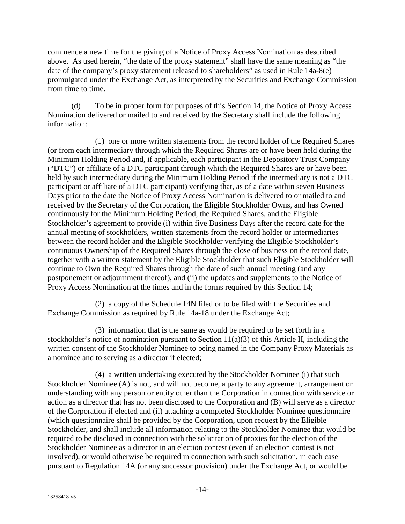commence a new time for the giving of a Notice of Proxy Access Nomination as described above. As used herein, "the date of the proxy statement" shall have the same meaning as "the date of the company's proxy statement released to shareholders" as used in Rule 14a-8(e) promulgated under the Exchange Act, as interpreted by the Securities and Exchange Commission from time to time.

(d) To be in proper form for purposes of this Section 14, the Notice of Proxy Access Nomination delivered or mailed to and received by the Secretary shall include the following information:

(1) one or more written statements from the record holder of the Required Shares (or from each intermediary through which the Required Shares are or have been held during the Minimum Holding Period and, if applicable, each participant in the Depository Trust Company ("DTC") or affiliate of a DTC participant through which the Required Shares are or have been held by such intermediary during the Minimum Holding Period if the intermediary is not a DTC participant or affiliate of a DTC participant) verifying that, as of a date within seven Business Days prior to the date the Notice of Proxy Access Nomination is delivered to or mailed to and received by the Secretary of the Corporation, the Eligible Stockholder Owns, and has Owned continuously for the Minimum Holding Period, the Required Shares, and the Eligible Stockholder's agreement to provide (i) within five Business Days after the record date for the annual meeting of stockholders, written statements from the record holder or intermediaries between the record holder and the Eligible Stockholder verifying the Eligible Stockholder's continuous Ownership of the Required Shares through the close of business on the record date, together with a written statement by the Eligible Stockholder that such Eligible Stockholder will continue to Own the Required Shares through the date of such annual meeting (and any postponement or adjournment thereof), and (ii) the updates and supplements to the Notice of Proxy Access Nomination at the times and in the forms required by this Section 14;

(2) a copy of the Schedule 14N filed or to be filed with the Securities and Exchange Commission as required by Rule 14a-18 under the Exchange Act;

(3) information that is the same as would be required to be set forth in a stockholder's notice of nomination pursuant to Section  $11(a)(3)$  of this Article II, including the written consent of the Stockholder Nominee to being named in the Company Proxy Materials as a nominee and to serving as a director if elected;

(4) a written undertaking executed by the Stockholder Nominee (i) that such Stockholder Nominee (A) is not, and will not become, a party to any agreement, arrangement or understanding with any person or entity other than the Corporation in connection with service or action as a director that has not been disclosed to the Corporation and (B) will serve as a director of the Corporation if elected and (ii) attaching a completed Stockholder Nominee questionnaire (which questionnaire shall be provided by the Corporation, upon request by the Eligible Stockholder, and shall include all information relating to the Stockholder Nominee that would be required to be disclosed in connection with the solicitation of proxies for the election of the Stockholder Nominee as a director in an election contest (even if an election contest is not involved), or would otherwise be required in connection with such solicitation, in each case pursuant to Regulation 14A (or any successor provision) under the Exchange Act, or would be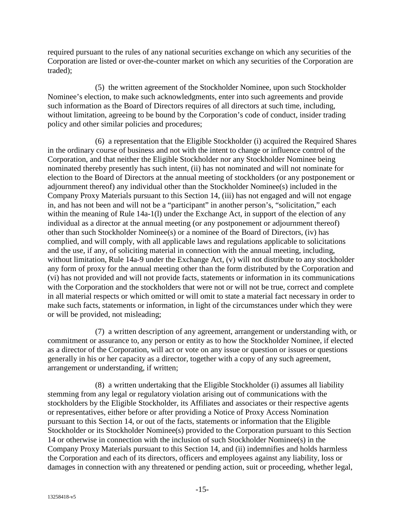required pursuant to the rules of any national securities exchange on which any securities of the Corporation are listed or over-the-counter market on which any securities of the Corporation are traded);

(5) the written agreement of the Stockholder Nominee, upon such Stockholder Nominee's election, to make such acknowledgments, enter into such agreements and provide such information as the Board of Directors requires of all directors at such time, including, without limitation, agreeing to be bound by the Corporation's code of conduct, insider trading policy and other similar policies and procedures;

(6) a representation that the Eligible Stockholder (i) acquired the Required Shares in the ordinary course of business and not with the intent to change or influence control of the Corporation, and that neither the Eligible Stockholder nor any Stockholder Nominee being nominated thereby presently has such intent, (ii) has not nominated and will not nominate for election to the Board of Directors at the annual meeting of stockholders (or any postponement or adjournment thereof) any individual other than the Stockholder Nominee(s) included in the Company Proxy Materials pursuant to this Section 14, (iii) has not engaged and will not engage in, and has not been and will not be a "participant" in another person's, "solicitation," each within the meaning of Rule 14a-1(1) under the Exchange Act, in support of the election of any individual as a director at the annual meeting (or any postponement or adjournment thereof) other than such Stockholder Nominee(s) or a nominee of the Board of Directors, (iv) has complied, and will comply, with all applicable laws and regulations applicable to solicitations and the use, if any, of soliciting material in connection with the annual meeting, including, without limitation, Rule 14a-9 under the Exchange Act, (v) will not distribute to any stockholder any form of proxy for the annual meeting other than the form distributed by the Corporation and (vi) has not provided and will not provide facts, statements or information in its communications with the Corporation and the stockholders that were not or will not be true, correct and complete in all material respects or which omitted or will omit to state a material fact necessary in order to make such facts, statements or information, in light of the circumstances under which they were or will be provided, not misleading;

(7) a written description of any agreement, arrangement or understanding with, or commitment or assurance to, any person or entity as to how the Stockholder Nominee, if elected as a director of the Corporation, will act or vote on any issue or question or issues or questions generally in his or her capacity as a director, together with a copy of any such agreement, arrangement or understanding, if written;

(8) a written undertaking that the Eligible Stockholder (i) assumes all liability stemming from any legal or regulatory violation arising out of communications with the stockholders by the Eligible Stockholder, its Affiliates and associates or their respective agents or representatives, either before or after providing a Notice of Proxy Access Nomination pursuant to this Section 14, or out of the facts, statements or information that the Eligible Stockholder or its Stockholder Nominee(s) provided to the Corporation pursuant to this Section 14 or otherwise in connection with the inclusion of such Stockholder Nominee(s) in the Company Proxy Materials pursuant to this Section 14, and (ii) indemnifies and holds harmless the Corporation and each of its directors, officers and employees against any liability, loss or damages in connection with any threatened or pending action, suit or proceeding, whether legal,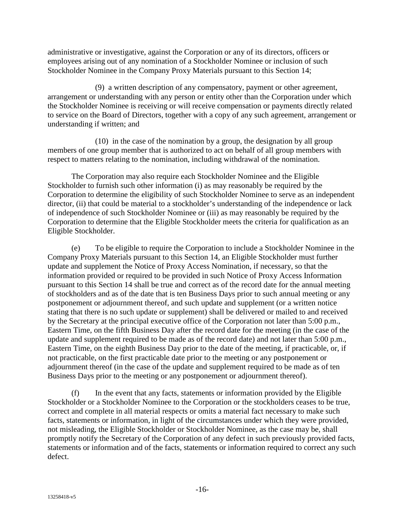administrative or investigative, against the Corporation or any of its directors, officers or employees arising out of any nomination of a Stockholder Nominee or inclusion of such Stockholder Nominee in the Company Proxy Materials pursuant to this Section 14;

(9) a written description of any compensatory, payment or other agreement, arrangement or understanding with any person or entity other than the Corporation under which the Stockholder Nominee is receiving or will receive compensation or payments directly related to service on the Board of Directors, together with a copy of any such agreement, arrangement or understanding if written; and

(10) in the case of the nomination by a group, the designation by all group members of one group member that is authorized to act on behalf of all group members with respect to matters relating to the nomination, including withdrawal of the nomination.

The Corporation may also require each Stockholder Nominee and the Eligible Stockholder to furnish such other information (i) as may reasonably be required by the Corporation to determine the eligibility of such Stockholder Nominee to serve as an independent director, (ii) that could be material to a stockholder's understanding of the independence or lack of independence of such Stockholder Nominee or (iii) as may reasonably be required by the Corporation to determine that the Eligible Stockholder meets the criteria for qualification as an Eligible Stockholder.

(e) To be eligible to require the Corporation to include a Stockholder Nominee in the Company Proxy Materials pursuant to this Section 14, an Eligible Stockholder must further update and supplement the Notice of Proxy Access Nomination, if necessary, so that the information provided or required to be provided in such Notice of Proxy Access Information pursuant to this Section 14 shall be true and correct as of the record date for the annual meeting of stockholders and as of the date that is ten Business Days prior to such annual meeting or any postponement or adjournment thereof, and such update and supplement (or a written notice stating that there is no such update or supplement) shall be delivered or mailed to and received by the Secretary at the principal executive office of the Corporation not later than 5:00 p.m., Eastern Time, on the fifth Business Day after the record date for the meeting (in the case of the update and supplement required to be made as of the record date) and not later than 5:00 p.m., Eastern Time, on the eighth Business Day prior to the date of the meeting, if practicable, or, if not practicable, on the first practicable date prior to the meeting or any postponement or adjournment thereof (in the case of the update and supplement required to be made as of ten Business Days prior to the meeting or any postponement or adjournment thereof).

(f) In the event that any facts, statements or information provided by the Eligible Stockholder or a Stockholder Nominee to the Corporation or the stockholders ceases to be true, correct and complete in all material respects or omits a material fact necessary to make such facts, statements or information, in light of the circumstances under which they were provided, not misleading, the Eligible Stockholder or Stockholder Nominee, as the case may be, shall promptly notify the Secretary of the Corporation of any defect in such previously provided facts, statements or information and of the facts, statements or information required to correct any such defect.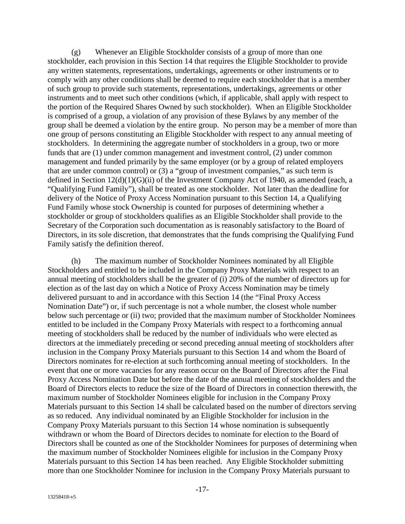(g) Whenever an Eligible Stockholder consists of a group of more than one stockholder, each provision in this Section 14 that requires the Eligible Stockholder to provide any written statements, representations, undertakings, agreements or other instruments or to comply with any other conditions shall be deemed to require each stockholder that is a member of such group to provide such statements, representations, undertakings, agreements or other instruments and to meet such other conditions (which, if applicable, shall apply with respect to the portion of the Required Shares Owned by such stockholder). When an Eligible Stockholder is comprised of a group, a violation of any provision of these Bylaws by any member of the group shall be deemed a violation by the entire group. No person may be a member of more than one group of persons constituting an Eligible Stockholder with respect to any annual meeting of stockholders. In determining the aggregate number of stockholders in a group, two or more funds that are (1) under common management and investment control, (2) under common management and funded primarily by the same employer (or by a group of related employers that are under common control) or (3) a "group of investment companies," as such term is defined in Section 12(d)(1)(G)(ii) of the Investment Company Act of 1940, as amended (each, a "Qualifying Fund Family"), shall be treated as one stockholder. Not later than the deadline for delivery of the Notice of Proxy Access Nomination pursuant to this Section 14, a Qualifying Fund Family whose stock Ownership is counted for purposes of determining whether a stockholder or group of stockholders qualifies as an Eligible Stockholder shall provide to the Secretary of the Corporation such documentation as is reasonably satisfactory to the Board of Directors, in its sole discretion, that demonstrates that the funds comprising the Qualifying Fund Family satisfy the definition thereof.

(h) The maximum number of Stockholder Nominees nominated by all Eligible Stockholders and entitled to be included in the Company Proxy Materials with respect to an annual meeting of stockholders shall be the greater of (i) 20% of the number of directors up for election as of the last day on which a Notice of Proxy Access Nomination may be timely delivered pursuant to and in accordance with this Section 14 (the "Final Proxy Access Nomination Date") or, if such percentage is not a whole number, the closest whole number below such percentage or (ii) two; provided that the maximum number of Stockholder Nominees entitled to be included in the Company Proxy Materials with respect to a forthcoming annual meeting of stockholders shall be reduced by the number of individuals who were elected as directors at the immediately preceding or second preceding annual meeting of stockholders after inclusion in the Company Proxy Materials pursuant to this Section 14 and whom the Board of Directors nominates for re-election at such forthcoming annual meeting of stockholders. In the event that one or more vacancies for any reason occur on the Board of Directors after the Final Proxy Access Nomination Date but before the date of the annual meeting of stockholders and the Board of Directors elects to reduce the size of the Board of Directors in connection therewith, the maximum number of Stockholder Nominees eligible for inclusion in the Company Proxy Materials pursuant to this Section 14 shall be calculated based on the number of directors serving as so reduced. Any individual nominated by an Eligible Stockholder for inclusion in the Company Proxy Materials pursuant to this Section 14 whose nomination is subsequently withdrawn or whom the Board of Directors decides to nominate for election to the Board of Directors shall be counted as one of the Stockholder Nominees for purposes of determining when the maximum number of Stockholder Nominees eligible for inclusion in the Company Proxy Materials pursuant to this Section 14 has been reached. Any Eligible Stockholder submitting more than one Stockholder Nominee for inclusion in the Company Proxy Materials pursuant to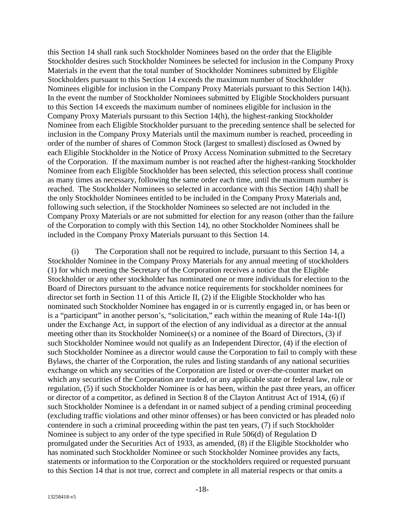this Section 14 shall rank such Stockholder Nominees based on the order that the Eligible Stockholder desires such Stockholder Nominees be selected for inclusion in the Company Proxy Materials in the event that the total number of Stockholder Nominees submitted by Eligible Stockholders pursuant to this Section 14 exceeds the maximum number of Stockholder Nominees eligible for inclusion in the Company Proxy Materials pursuant to this Section 14(h). In the event the number of Stockholder Nominees submitted by Eligible Stockholders pursuant to this Section 14 exceeds the maximum number of nominees eligible for inclusion in the Company Proxy Materials pursuant to this Section 14(h), the highest-ranking Stockholder Nominee from each Eligible Stockholder pursuant to the preceding sentence shall be selected for inclusion in the Company Proxy Materials until the maximum number is reached, proceeding in order of the number of shares of Common Stock (largest to smallest) disclosed as Owned by each Eligible Stockholder in the Notice of Proxy Access Nomination submitted to the Secretary of the Corporation. If the maximum number is not reached after the highest-ranking Stockholder Nominee from each Eligible Stockholder has been selected, this selection process shall continue as many times as necessary, following the same order each time, until the maximum number is reached. The Stockholder Nominees so selected in accordance with this Section 14(h) shall be the only Stockholder Nominees entitled to be included in the Company Proxy Materials and, following such selection, if the Stockholder Nominees so selected are not included in the Company Proxy Materials or are not submitted for election for any reason (other than the failure of the Corporation to comply with this Section 14), no other Stockholder Nominees shall be included in the Company Proxy Materials pursuant to this Section 14.

(i) The Corporation shall not be required to include, pursuant to this Section 14, a Stockholder Nominee in the Company Proxy Materials for any annual meeting of stockholders (1) for which meeting the Secretary of the Corporation receives a notice that the Eligible Stockholder or any other stockholder has nominated one or more individuals for election to the Board of Directors pursuant to the advance notice requirements for stockholder nominees for director set forth in Section 11 of this Article II, (2) if the Eligible Stockholder who has nominated such Stockholder Nominee has engaged in or is currently engaged in, or has been or is a "participant" in another person's, "solicitation," each within the meaning of Rule 14a-1(l) under the Exchange Act, in support of the election of any individual as a director at the annual meeting other than its Stockholder Nominee(s) or a nominee of the Board of Directors, (3) if such Stockholder Nominee would not qualify as an Independent Director, (4) if the election of such Stockholder Nominee as a director would cause the Corporation to fail to comply with these Bylaws, the charter of the Corporation, the rules and listing standards of any national securities exchange on which any securities of the Corporation are listed or over-the-counter market on which any securities of the Corporation are traded, or any applicable state or federal law, rule or regulation, (5) if such Stockholder Nominee is or has been, within the past three years, an officer or director of a competitor, as defined in Section 8 of the Clayton Antitrust Act of 1914, (6) if such Stockholder Nominee is a defendant in or named subject of a pending criminal proceeding (excluding traffic violations and other minor offenses) or has been convicted or has pleaded nolo contendere in such a criminal proceeding within the past ten years, (7) if such Stockholder Nominee is subject to any order of the type specified in Rule 506(d) of Regulation D promulgated under the Securities Act of 1933, as amended, (8) if the Eligible Stockholder who has nominated such Stockholder Nominee or such Stockholder Nominee provides any facts, statements or information to the Corporation or the stockholders required or requested pursuant to this Section 14 that is not true, correct and complete in all material respects or that omits a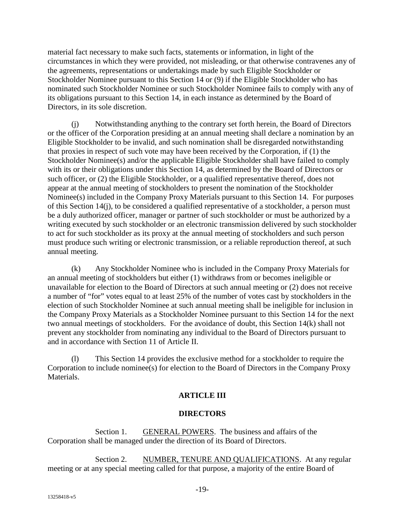material fact necessary to make such facts, statements or information, in light of the circumstances in which they were provided, not misleading, or that otherwise contravenes any of the agreements, representations or undertakings made by such Eligible Stockholder or Stockholder Nominee pursuant to this Section 14 or (9) if the Eligible Stockholder who has nominated such Stockholder Nominee or such Stockholder Nominee fails to comply with any of its obligations pursuant to this Section 14, in each instance as determined by the Board of Directors, in its sole discretion.

(j) Notwithstanding anything to the contrary set forth herein, the Board of Directors or the officer of the Corporation presiding at an annual meeting shall declare a nomination by an Eligible Stockholder to be invalid, and such nomination shall be disregarded notwithstanding that proxies in respect of such vote may have been received by the Corporation, if (1) the Stockholder Nominee(s) and/or the applicable Eligible Stockholder shall have failed to comply with its or their obligations under this Section 14, as determined by the Board of Directors or such officer, or (2) the Eligible Stockholder, or a qualified representative thereof, does not appear at the annual meeting of stockholders to present the nomination of the Stockholder Nominee(s) included in the Company Proxy Materials pursuant to this Section 14. For purposes of this Section 14(j), to be considered a qualified representative of a stockholder, a person must be a duly authorized officer, manager or partner of such stockholder or must be authorized by a writing executed by such stockholder or an electronic transmission delivered by such stockholder to act for such stockholder as its proxy at the annual meeting of stockholders and such person must produce such writing or electronic transmission, or a reliable reproduction thereof, at such annual meeting.

(k) Any Stockholder Nominee who is included in the Company Proxy Materials for an annual meeting of stockholders but either (1) withdraws from or becomes ineligible or unavailable for election to the Board of Directors at such annual meeting or (2) does not receive a number of "for" votes equal to at least 25% of the number of votes cast by stockholders in the election of such Stockholder Nominee at such annual meeting shall be ineligible for inclusion in the Company Proxy Materials as a Stockholder Nominee pursuant to this Section 14 for the next two annual meetings of stockholders. For the avoidance of doubt, this Section 14(k) shall not prevent any stockholder from nominating any individual to the Board of Directors pursuant to and in accordance with Section 11 of Article II.

(l) This Section 14 provides the exclusive method for a stockholder to require the Corporation to include nominee(s) for election to the Board of Directors in the Company Proxy Materials.

# **ARTICLE III**

# **DIRECTORS**

Section 1. GENERAL POWERS. The business and affairs of the Corporation shall be managed under the direction of its Board of Directors.

Section 2. NUMBER, TENURE AND QUALIFICATIONS. At any regular meeting or at any special meeting called for that purpose, a majority of the entire Board of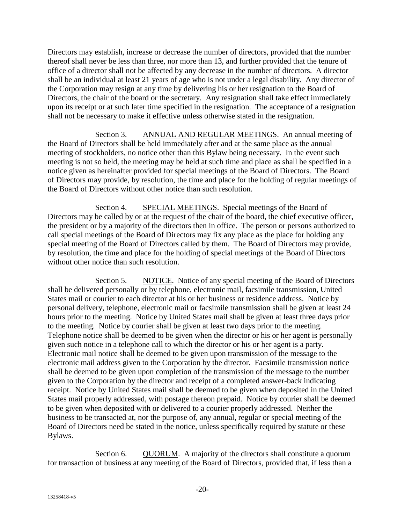Directors may establish, increase or decrease the number of directors, provided that the number thereof shall never be less than three, nor more than 13, and further provided that the tenure of office of a director shall not be affected by any decrease in the number of directors. A director shall be an individual at least 21 years of age who is not under a legal disability. Any director of the Corporation may resign at any time by delivering his or her resignation to the Board of Directors, the chair of the board or the secretary. Any resignation shall take effect immediately upon its receipt or at such later time specified in the resignation. The acceptance of a resignation shall not be necessary to make it effective unless otherwise stated in the resignation.

Section 3. ANNUAL AND REGULAR MEETINGS. An annual meeting of the Board of Directors shall be held immediately after and at the same place as the annual meeting of stockholders, no notice other than this Bylaw being necessary. In the event such meeting is not so held, the meeting may be held at such time and place as shall be specified in a notice given as hereinafter provided for special meetings of the Board of Directors. The Board of Directors may provide, by resolution, the time and place for the holding of regular meetings of the Board of Directors without other notice than such resolution.

Section 4. SPECIAL MEETINGS. Special meetings of the Board of Directors may be called by or at the request of the chair of the board, the chief executive officer, the president or by a majority of the directors then in office. The person or persons authorized to call special meetings of the Board of Directors may fix any place as the place for holding any special meeting of the Board of Directors called by them. The Board of Directors may provide, by resolution, the time and place for the holding of special meetings of the Board of Directors without other notice than such resolution.

Section 5. NOTICE. Notice of any special meeting of the Board of Directors shall be delivered personally or by telephone, electronic mail, facsimile transmission, United States mail or courier to each director at his or her business or residence address. Notice by personal delivery, telephone, electronic mail or facsimile transmission shall be given at least 24 hours prior to the meeting. Notice by United States mail shall be given at least three days prior to the meeting. Notice by courier shall be given at least two days prior to the meeting. Telephone notice shall be deemed to be given when the director or his or her agent is personally given such notice in a telephone call to which the director or his or her agent is a party. Electronic mail notice shall be deemed to be given upon transmission of the message to the electronic mail address given to the Corporation by the director. Facsimile transmission notice shall be deemed to be given upon completion of the transmission of the message to the number given to the Corporation by the director and receipt of a completed answer-back indicating receipt. Notice by United States mail shall be deemed to be given when deposited in the United States mail properly addressed, with postage thereon prepaid. Notice by courier shall be deemed to be given when deposited with or delivered to a courier properly addressed. Neither the business to be transacted at, nor the purpose of, any annual, regular or special meeting of the Board of Directors need be stated in the notice, unless specifically required by statute or these Bylaws.

Section 6. QUORUM. A majority of the directors shall constitute a quorum for transaction of business at any meeting of the Board of Directors, provided that, if less than a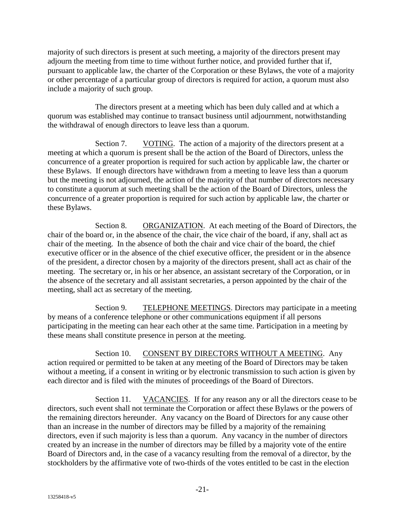majority of such directors is present at such meeting, a majority of the directors present may adjourn the meeting from time to time without further notice, and provided further that if, pursuant to applicable law, the charter of the Corporation or these Bylaws, the vote of a majority or other percentage of a particular group of directors is required for action, a quorum must also include a majority of such group.

The directors present at a meeting which has been duly called and at which a quorum was established may continue to transact business until adjournment, notwithstanding the withdrawal of enough directors to leave less than a quorum.

Section 7. VOTING. The action of a majority of the directors present at a meeting at which a quorum is present shall be the action of the Board of Directors, unless the concurrence of a greater proportion is required for such action by applicable law, the charter or these Bylaws. If enough directors have withdrawn from a meeting to leave less than a quorum but the meeting is not adjourned, the action of the majority of that number of directors necessary to constitute a quorum at such meeting shall be the action of the Board of Directors, unless the concurrence of a greater proportion is required for such action by applicable law, the charter or these Bylaws.

Section 8. ORGANIZATION. At each meeting of the Board of Directors, the chair of the board or, in the absence of the chair, the vice chair of the board, if any, shall act as chair of the meeting. In the absence of both the chair and vice chair of the board, the chief executive officer or in the absence of the chief executive officer, the president or in the absence of the president, a director chosen by a majority of the directors present, shall act as chair of the meeting. The secretary or, in his or her absence, an assistant secretary of the Corporation, or in the absence of the secretary and all assistant secretaries, a person appointed by the chair of the meeting, shall act as secretary of the meeting.

Section 9. TELEPHONE MEETINGS. Directors may participate in a meeting by means of a conference telephone or other communications equipment if all persons participating in the meeting can hear each other at the same time. Participation in a meeting by these means shall constitute presence in person at the meeting.

Section 10. CONSENT BY DIRECTORS WITHOUT A MEETING. Any action required or permitted to be taken at any meeting of the Board of Directors may be taken without a meeting, if a consent in writing or by electronic transmission to such action is given by each director and is filed with the minutes of proceedings of the Board of Directors.

Section 11. VACANCIES. If for any reason any or all the directors cease to be directors, such event shall not terminate the Corporation or affect these Bylaws or the powers of the remaining directors hereunder. Any vacancy on the Board of Directors for any cause other than an increase in the number of directors may be filled by a majority of the remaining directors, even if such majority is less than a quorum. Any vacancy in the number of directors created by an increase in the number of directors may be filled by a majority vote of the entire Board of Directors and, in the case of a vacancy resulting from the removal of a director, by the stockholders by the affirmative vote of two-thirds of the votes entitled to be cast in the election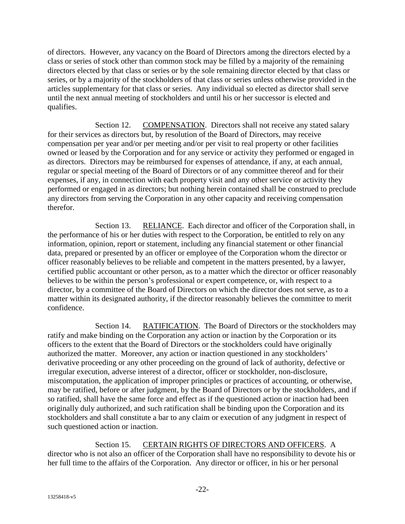of directors. However, any vacancy on the Board of Directors among the directors elected by a class or series of stock other than common stock may be filled by a majority of the remaining directors elected by that class or series or by the sole remaining director elected by that class or series, or by a majority of the stockholders of that class or series unless otherwise provided in the articles supplementary for that class or series. Any individual so elected as director shall serve until the next annual meeting of stockholders and until his or her successor is elected and qualifies.

Section 12. COMPENSATION. Directors shall not receive any stated salary for their services as directors but, by resolution of the Board of Directors, may receive compensation per year and/or per meeting and/or per visit to real property or other facilities owned or leased by the Corporation and for any service or activity they performed or engaged in as directors. Directors may be reimbursed for expenses of attendance, if any, at each annual, regular or special meeting of the Board of Directors or of any committee thereof and for their expenses, if any, in connection with each property visit and any other service or activity they performed or engaged in as directors; but nothing herein contained shall be construed to preclude any directors from serving the Corporation in any other capacity and receiving compensation therefor.

Section 13. RELIANCE. Each director and officer of the Corporation shall, in the performance of his or her duties with respect to the Corporation, be entitled to rely on any information, opinion, report or statement, including any financial statement or other financial data, prepared or presented by an officer or employee of the Corporation whom the director or officer reasonably believes to be reliable and competent in the matters presented, by a lawyer, certified public accountant or other person, as to a matter which the director or officer reasonably believes to be within the person's professional or expert competence, or, with respect to a director, by a committee of the Board of Directors on which the director does not serve, as to a matter within its designated authority, if the director reasonably believes the committee to merit confidence.

Section 14. RATIFICATION. The Board of Directors or the stockholders may ratify and make binding on the Corporation any action or inaction by the Corporation or its officers to the extent that the Board of Directors or the stockholders could have originally authorized the matter. Moreover, any action or inaction questioned in any stockholders' derivative proceeding or any other proceeding on the ground of lack of authority, defective or irregular execution, adverse interest of a director, officer or stockholder, non-disclosure, miscomputation, the application of improper principles or practices of accounting, or otherwise, may be ratified, before or after judgment, by the Board of Directors or by the stockholders, and if so ratified, shall have the same force and effect as if the questioned action or inaction had been originally duly authorized, and such ratification shall be binding upon the Corporation and its stockholders and shall constitute a bar to any claim or execution of any judgment in respect of such questioned action or inaction.

Section 15. CERTAIN RIGHTS OF DIRECTORS AND OFFICERS. A director who is not also an officer of the Corporation shall have no responsibility to devote his or her full time to the affairs of the Corporation. Any director or officer, in his or her personal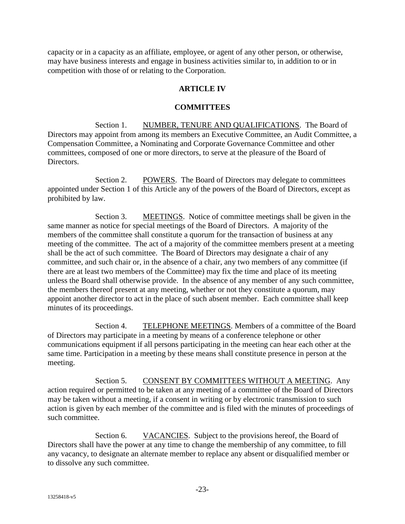capacity or in a capacity as an affiliate, employee, or agent of any other person, or otherwise, may have business interests and engage in business activities similar to, in addition to or in competition with those of or relating to the Corporation.

# **ARTICLE IV**

### **COMMITTEES**

Section 1. NUMBER, TENURE AND QUALIFICATIONS. The Board of Directors may appoint from among its members an Executive Committee, an Audit Committee, a Compensation Committee, a Nominating and Corporate Governance Committee and other committees, composed of one or more directors, to serve at the pleasure of the Board of Directors.

Section 2. POWERS. The Board of Directors may delegate to committees appointed under Section 1 of this Article any of the powers of the Board of Directors, except as prohibited by law.

Section 3. MEETINGS. Notice of committee meetings shall be given in the same manner as notice for special meetings of the Board of Directors. A majority of the members of the committee shall constitute a quorum for the transaction of business at any meeting of the committee. The act of a majority of the committee members present at a meeting shall be the act of such committee. The Board of Directors may designate a chair of any committee, and such chair or, in the absence of a chair, any two members of any committee (if there are at least two members of the Committee) may fix the time and place of its meeting unless the Board shall otherwise provide. In the absence of any member of any such committee, the members thereof present at any meeting, whether or not they constitute a quorum, may appoint another director to act in the place of such absent member. Each committee shall keep minutes of its proceedings.

Section 4. TELEPHONE MEETINGS. Members of a committee of the Board of Directors may participate in a meeting by means of a conference telephone or other communications equipment if all persons participating in the meeting can hear each other at the same time. Participation in a meeting by these means shall constitute presence in person at the meeting.

Section 5. CONSENT BY COMMITTEES WITHOUT A MEETING. Any action required or permitted to be taken at any meeting of a committee of the Board of Directors may be taken without a meeting, if a consent in writing or by electronic transmission to such action is given by each member of the committee and is filed with the minutes of proceedings of such committee.

Section 6. VACANCIES. Subject to the provisions hereof, the Board of Directors shall have the power at any time to change the membership of any committee, to fill any vacancy, to designate an alternate member to replace any absent or disqualified member or to dissolve any such committee.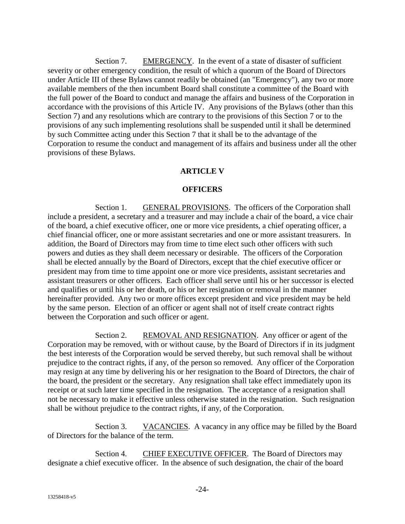Section 7. EMERGENCY. In the event of a state of disaster of sufficient severity or other emergency condition, the result of which a quorum of the Board of Directors under Article III of these Bylaws cannot readily be obtained (an "Emergency"), any two or more available members of the then incumbent Board shall constitute a committee of the Board with the full power of the Board to conduct and manage the affairs and business of the Corporation in accordance with the provisions of this Article IV. Any provisions of the Bylaws (other than this Section 7) and any resolutions which are contrary to the provisions of this Section 7 or to the provisions of any such implementing resolutions shall be suspended until it shall be determined by such Committee acting under this Section 7 that it shall be to the advantage of the Corporation to resume the conduct and management of its affairs and business under all the other provisions of these Bylaws.

## **ARTICLE V**

### **OFFICERS**

Section 1. GENERAL PROVISIONS. The officers of the Corporation shall include a president, a secretary and a treasurer and may include a chair of the board, a vice chair of the board, a chief executive officer, one or more vice presidents, a chief operating officer, a chief financial officer, one or more assistant secretaries and one or more assistant treasurers. In addition, the Board of Directors may from time to time elect such other officers with such powers and duties as they shall deem necessary or desirable. The officers of the Corporation shall be elected annually by the Board of Directors, except that the chief executive officer or president may from time to time appoint one or more vice presidents, assistant secretaries and assistant treasurers or other officers. Each officer shall serve until his or her successor is elected and qualifies or until his or her death, or his or her resignation or removal in the manner hereinafter provided. Any two or more offices except president and vice president may be held by the same person. Election of an officer or agent shall not of itself create contract rights between the Corporation and such officer or agent.

Section 2. REMOVAL AND RESIGNATION. Any officer or agent of the Corporation may be removed, with or without cause, by the Board of Directors if in its judgment the best interests of the Corporation would be served thereby, but such removal shall be without prejudice to the contract rights, if any, of the person so removed. Any officer of the Corporation may resign at any time by delivering his or her resignation to the Board of Directors, the chair of the board, the president or the secretary. Any resignation shall take effect immediately upon its receipt or at such later time specified in the resignation. The acceptance of a resignation shall not be necessary to make it effective unless otherwise stated in the resignation. Such resignation shall be without prejudice to the contract rights, if any, of the Corporation.

Section 3. VACANCIES. A vacancy in any office may be filled by the Board of Directors for the balance of the term.

Section 4. CHIEF EXECUTIVE OFFICER. The Board of Directors may designate a chief executive officer. In the absence of such designation, the chair of the board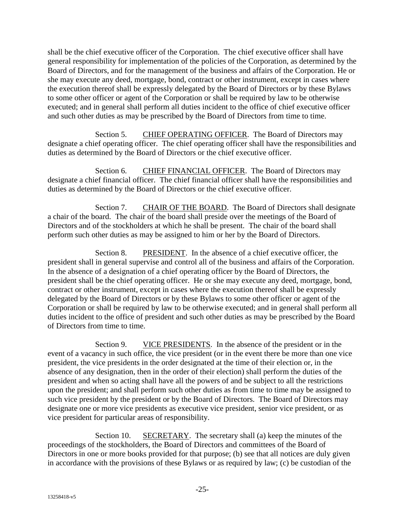shall be the chief executive officer of the Corporation. The chief executive officer shall have general responsibility for implementation of the policies of the Corporation, as determined by the Board of Directors, and for the management of the business and affairs of the Corporation. He or she may execute any deed, mortgage, bond, contract or other instrument, except in cases where the execution thereof shall be expressly delegated by the Board of Directors or by these Bylaws to some other officer or agent of the Corporation or shall be required by law to be otherwise executed; and in general shall perform all duties incident to the office of chief executive officer and such other duties as may be prescribed by the Board of Directors from time to time.

Section 5. CHIEF OPERATING OFFICER. The Board of Directors may designate a chief operating officer. The chief operating officer shall have the responsibilities and duties as determined by the Board of Directors or the chief executive officer.

Section 6. CHIEF FINANCIAL OFFICER. The Board of Directors may designate a chief financial officer. The chief financial officer shall have the responsibilities and duties as determined by the Board of Directors or the chief executive officer.

Section 7. CHAIR OF THE BOARD. The Board of Directors shall designate a chair of the board. The chair of the board shall preside over the meetings of the Board of Directors and of the stockholders at which he shall be present. The chair of the board shall perform such other duties as may be assigned to him or her by the Board of Directors.

Section 8. PRESIDENT. In the absence of a chief executive officer, the president shall in general supervise and control all of the business and affairs of the Corporation. In the absence of a designation of a chief operating officer by the Board of Directors, the president shall be the chief operating officer. He or she may execute any deed, mortgage, bond, contract or other instrument, except in cases where the execution thereof shall be expressly delegated by the Board of Directors or by these Bylaws to some other officer or agent of the Corporation or shall be required by law to be otherwise executed; and in general shall perform all duties incident to the office of president and such other duties as may be prescribed by the Board of Directors from time to time.

Section 9. VICE PRESIDENTS. In the absence of the president or in the event of a vacancy in such office, the vice president (or in the event there be more than one vice president, the vice presidents in the order designated at the time of their election or, in the absence of any designation, then in the order of their election) shall perform the duties of the president and when so acting shall have all the powers of and be subject to all the restrictions upon the president; and shall perform such other duties as from time to time may be assigned to such vice president by the president or by the Board of Directors. The Board of Directors may designate one or more vice presidents as executive vice president, senior vice president, or as vice president for particular areas of responsibility.

Section 10. SECRETARY. The secretary shall (a) keep the minutes of the proceedings of the stockholders, the Board of Directors and committees of the Board of Directors in one or more books provided for that purpose; (b) see that all notices are duly given in accordance with the provisions of these Bylaws or as required by law; (c) be custodian of the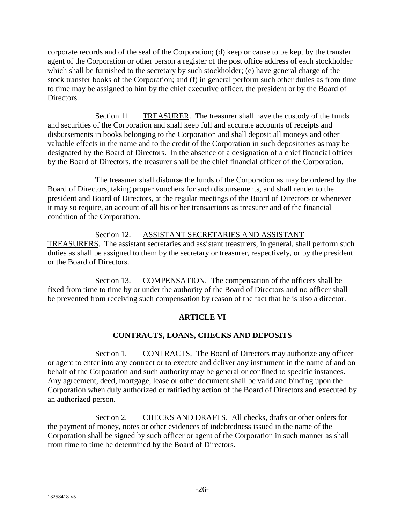corporate records and of the seal of the Corporation; (d) keep or cause to be kept by the transfer agent of the Corporation or other person a register of the post office address of each stockholder which shall be furnished to the secretary by such stockholder; (e) have general charge of the stock transfer books of the Corporation; and (f) in general perform such other duties as from time to time may be assigned to him by the chief executive officer, the president or by the Board of Directors.

Section 11. TREASURER. The treasurer shall have the custody of the funds and securities of the Corporation and shall keep full and accurate accounts of receipts and disbursements in books belonging to the Corporation and shall deposit all moneys and other valuable effects in the name and to the credit of the Corporation in such depositories as may be designated by the Board of Directors. In the absence of a designation of a chief financial officer by the Board of Directors, the treasurer shall be the chief financial officer of the Corporation.

The treasurer shall disburse the funds of the Corporation as may be ordered by the Board of Directors, taking proper vouchers for such disbursements, and shall render to the president and Board of Directors, at the regular meetings of the Board of Directors or whenever it may so require, an account of all his or her transactions as treasurer and of the financial condition of the Corporation.

Section 12. ASSISTANT SECRETARIES AND ASSISTANT TREASURERS. The assistant secretaries and assistant treasurers, in general, shall perform such duties as shall be assigned to them by the secretary or treasurer, respectively, or by the president or the Board of Directors.

Section 13. COMPENSATION. The compensation of the officers shall be fixed from time to time by or under the authority of the Board of Directors and no officer shall be prevented from receiving such compensation by reason of the fact that he is also a director.

# **ARTICLE VI**

# **CONTRACTS, LOANS, CHECKS AND DEPOSITS**

Section 1. CONTRACTS. The Board of Directors may authorize any officer or agent to enter into any contract or to execute and deliver any instrument in the name of and on behalf of the Corporation and such authority may be general or confined to specific instances. Any agreement, deed, mortgage, lease or other document shall be valid and binding upon the Corporation when duly authorized or ratified by action of the Board of Directors and executed by an authorized person.

Section 2. CHECKS AND DRAFTS. All checks, drafts or other orders for the payment of money, notes or other evidences of indebtedness issued in the name of the Corporation shall be signed by such officer or agent of the Corporation in such manner as shall from time to time be determined by the Board of Directors.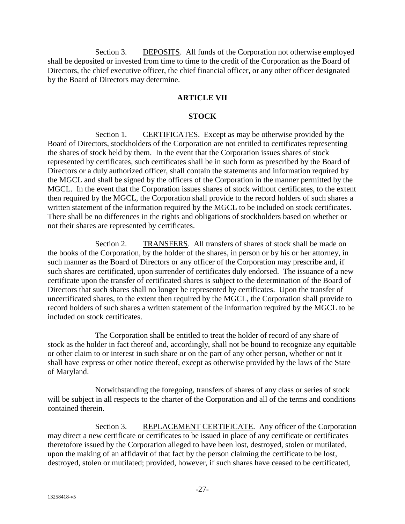Section 3. DEPOSITS. All funds of the Corporation not otherwise employed shall be deposited or invested from time to time to the credit of the Corporation as the Board of Directors, the chief executive officer, the chief financial officer, or any other officer designated by the Board of Directors may determine.

# **ARTICLE VII**

#### **STOCK**

Section 1. CERTIFICATES. Except as may be otherwise provided by the Board of Directors, stockholders of the Corporation are not entitled to certificates representing the shares of stock held by them. In the event that the Corporation issues shares of stock represented by certificates, such certificates shall be in such form as prescribed by the Board of Directors or a duly authorized officer, shall contain the statements and information required by the MGCL and shall be signed by the officers of the Corporation in the manner permitted by the MGCL. In the event that the Corporation issues shares of stock without certificates, to the extent then required by the MGCL, the Corporation shall provide to the record holders of such shares a written statement of the information required by the MGCL to be included on stock certificates. There shall be no differences in the rights and obligations of stockholders based on whether or not their shares are represented by certificates.

Section 2. TRANSFERS. All transfers of shares of stock shall be made on the books of the Corporation, by the holder of the shares, in person or by his or her attorney, in such manner as the Board of Directors or any officer of the Corporation may prescribe and, if such shares are certificated, upon surrender of certificates duly endorsed. The issuance of a new certificate upon the transfer of certificated shares is subject to the determination of the Board of Directors that such shares shall no longer be represented by certificates. Upon the transfer of uncertificated shares, to the extent then required by the MGCL, the Corporation shall provide to record holders of such shares a written statement of the information required by the MGCL to be included on stock certificates.

The Corporation shall be entitled to treat the holder of record of any share of stock as the holder in fact thereof and, accordingly, shall not be bound to recognize any equitable or other claim to or interest in such share or on the part of any other person, whether or not it shall have express or other notice thereof, except as otherwise provided by the laws of the State of Maryland.

Notwithstanding the foregoing, transfers of shares of any class or series of stock will be subject in all respects to the charter of the Corporation and all of the terms and conditions contained therein.

Section 3. REPLACEMENT CERTIFICATE. Any officer of the Corporation may direct a new certificate or certificates to be issued in place of any certificate or certificates theretofore issued by the Corporation alleged to have been lost, destroyed, stolen or mutilated, upon the making of an affidavit of that fact by the person claiming the certificate to be lost, destroyed, stolen or mutilated; provided, however, if such shares have ceased to be certificated,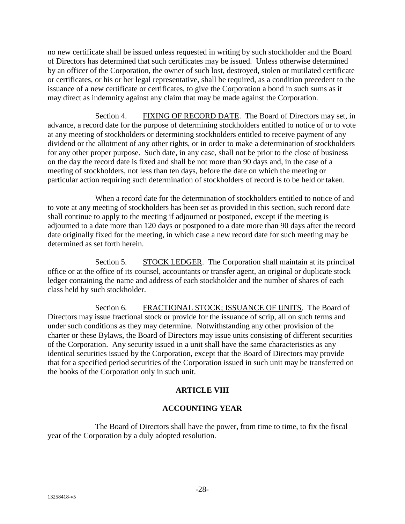no new certificate shall be issued unless requested in writing by such stockholder and the Board of Directors has determined that such certificates may be issued. Unless otherwise determined by an officer of the Corporation, the owner of such lost, destroyed, stolen or mutilated certificate or certificates, or his or her legal representative, shall be required, as a condition precedent to the issuance of a new certificate or certificates, to give the Corporation a bond in such sums as it may direct as indemnity against any claim that may be made against the Corporation.

Section 4. FIXING OF RECORD DATE. The Board of Directors may set, in advance, a record date for the purpose of determining stockholders entitled to notice of or to vote at any meeting of stockholders or determining stockholders entitled to receive payment of any dividend or the allotment of any other rights, or in order to make a determination of stockholders for any other proper purpose. Such date, in any case, shall not be prior to the close of business on the day the record date is fixed and shall be not more than 90 days and, in the case of a meeting of stockholders, not less than ten days, before the date on which the meeting or particular action requiring such determination of stockholders of record is to be held or taken.

When a record date for the determination of stockholders entitled to notice of and to vote at any meeting of stockholders has been set as provided in this section, such record date shall continue to apply to the meeting if adjourned or postponed, except if the meeting is adjourned to a date more than 120 days or postponed to a date more than 90 days after the record date originally fixed for the meeting, in which case a new record date for such meeting may be determined as set forth herein.

Section 5. STOCK LEDGER. The Corporation shall maintain at its principal office or at the office of its counsel, accountants or transfer agent, an original or duplicate stock ledger containing the name and address of each stockholder and the number of shares of each class held by such stockholder.

Section 6. FRACTIONAL STOCK; ISSUANCE OF UNITS. The Board of Directors may issue fractional stock or provide for the issuance of scrip, all on such terms and under such conditions as they may determine. Notwithstanding any other provision of the charter or these Bylaws, the Board of Directors may issue units consisting of different securities of the Corporation. Any security issued in a unit shall have the same characteristics as any identical securities issued by the Corporation, except that the Board of Directors may provide that for a specified period securities of the Corporation issued in such unit may be transferred on the books of the Corporation only in such unit.

#### **ARTICLE VIII**

# **ACCOUNTING YEAR**

The Board of Directors shall have the power, from time to time, to fix the fiscal year of the Corporation by a duly adopted resolution.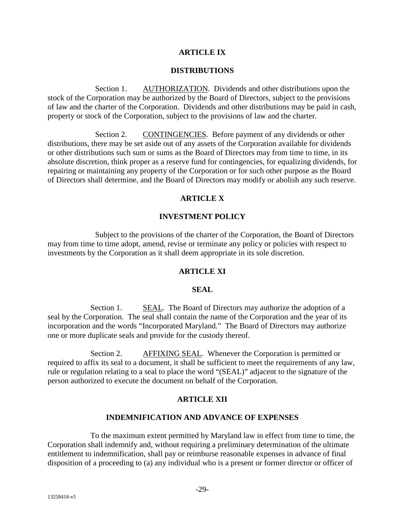## **ARTICLE IX**

#### **DISTRIBUTIONS**

Section 1. AUTHORIZATION. Dividends and other distributions upon the stock of the Corporation may be authorized by the Board of Directors, subject to the provisions of law and the charter of the Corporation. Dividends and other distributions may be paid in cash, property or stock of the Corporation, subject to the provisions of law and the charter.

Section 2. CONTINGENCIES. Before payment of any dividends or other distributions, there may be set aside out of any assets of the Corporation available for dividends or other distributions such sum or sums as the Board of Directors may from time to time, in its absolute discretion, think proper as a reserve fund for contingencies, for equalizing dividends, for repairing or maintaining any property of the Corporation or for such other purpose as the Board of Directors shall determine, and the Board of Directors may modify or abolish any such reserve.

# **ARTICLE X**

## **INVESTMENT POLICY**

Subject to the provisions of the charter of the Corporation, the Board of Directors may from time to time adopt, amend, revise or terminate any policy or policies with respect to investments by the Corporation as it shall deem appropriate in its sole discretion.

#### **ARTICLE XI**

#### **SEAL**

Section 1. SEAL. The Board of Directors may authorize the adoption of a seal by the Corporation. The seal shall contain the name of the Corporation and the year of its incorporation and the words "Incorporated Maryland." The Board of Directors may authorize one or more duplicate seals and provide for the custody thereof.

Section 2. AFFIXING SEAL. Whenever the Corporation is permitted or required to affix its seal to a document, it shall be sufficient to meet the requirements of any law, rule or regulation relating to a seal to place the word "(SEAL)" adjacent to the signature of the person authorized to execute the document on behalf of the Corporation.

#### **ARTICLE XII**

#### **INDEMNIFICATION AND ADVANCE OF EXPENSES**

To the maximum extent permitted by Maryland law in effect from time to time, the Corporation shall indemnify and, without requiring a preliminary determination of the ultimate entitlement to indemnification, shall pay or reimburse reasonable expenses in advance of final disposition of a proceeding to (a) any individual who is a present or former director or officer of